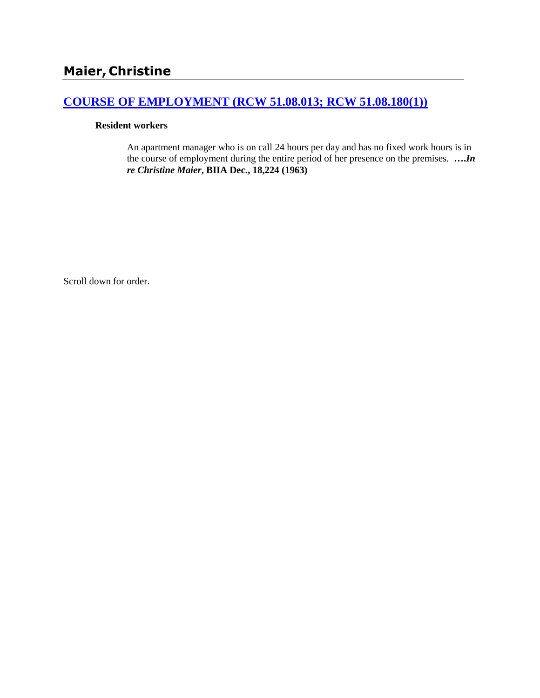# **[COURSE OF EMPLOYMENT \(RCW 51.08.013; RCW 51.08.180\(1\)\)](http://www.biia.wa.gov/SDSubjectIndex.html#COURSE_OF_EMPLOYMENT)**

#### **Resident workers**

An apartment manager who is on call 24 hours per day and has no fixed work hours is in the course of employment during the entire period of her presence on the premises. **….***In re Christine Maier***, BIIA Dec., 18,224 (1963)** 

Scroll down for order.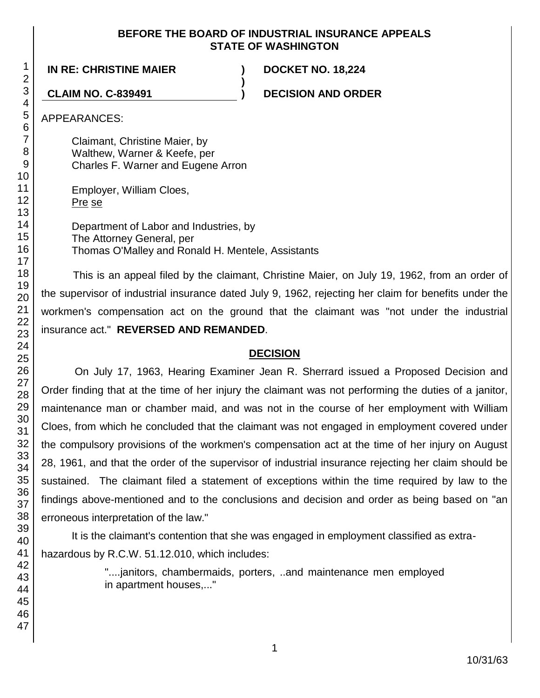#### **BEFORE THE BOARD OF INDUSTRIAL INSURANCE APPEALS STATE OF WASHINGTON**

**)**

**IN RE: CHRISTINE MAIER ) DOCKET NO. 18,224**

**CLAIM NO. C-839491 ) DECISION AND ORDER**

APPEARANCES:

Claimant, Christine Maier, by Walthew, Warner & Keefe, per Charles F. Warner and Eugene Arron

Employer, William Cloes, Pre se

Department of Labor and Industries, by The Attorney General, per Thomas O'Malley and Ronald H. Mentele, Assistants

This is an appeal filed by the claimant, Christine Maier, on July 19, 1962, from an order of the supervisor of industrial insurance dated July 9, 1962, rejecting her claim for benefits under the workmen's compensation act on the ground that the claimant was "not under the industrial insurance act." **REVERSED AND REMANDED**.

## **DECISION**

On July 17, 1963, Hearing Examiner Jean R. Sherrard issued a Proposed Decision and Order finding that at the time of her injury the claimant was not performing the duties of a janitor, maintenance man or chamber maid, and was not in the course of her employment with William Cloes, from which he concluded that the claimant was not engaged in employment covered under the compulsory provisions of the workmen's compensation act at the time of her injury on August 28, 1961, and that the order of the supervisor of industrial insurance rejecting her claim should be sustained. The claimant filed a statement of exceptions within the time required by law to the findings above-mentioned and to the conclusions and decision and order as being based on "an erroneous interpretation of the law."

It is the claimant's contention that she was engaged in employment classified as extrahazardous by R.C.W. 51.12.010, which includes:

> "....janitors, chambermaids, porters, ..and maintenance men employed in apartment houses,..."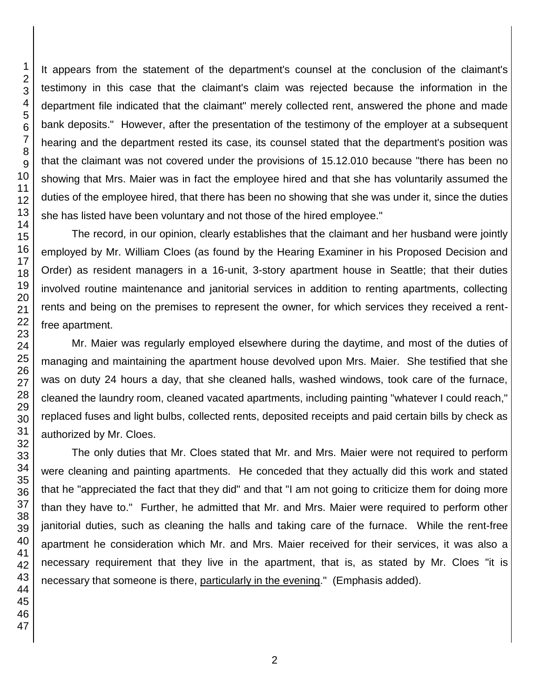It appears from the statement of the department's counsel at the conclusion of the claimant's testimony in this case that the claimant's claim was rejected because the information in the department file indicated that the claimant" merely collected rent, answered the phone and made bank deposits." However, after the presentation of the testimony of the employer at a subsequent hearing and the department rested its case, its counsel stated that the department's position was that the claimant was not covered under the provisions of 15.12.010 because "there has been no showing that Mrs. Maier was in fact the employee hired and that she has voluntarily assumed the duties of the employee hired, that there has been no showing that she was under it, since the duties she has listed have been voluntary and not those of the hired employee."

The record, in our opinion, clearly establishes that the claimant and her husband were jointly employed by Mr. William Cloes (as found by the Hearing Examiner in his Proposed Decision and Order) as resident managers in a 16-unit, 3-story apartment house in Seattle; that their duties involved routine maintenance and janitorial services in addition to renting apartments, collecting rents and being on the premises to represent the owner, for which services they received a rentfree apartment.

Mr. Maier was regularly employed elsewhere during the daytime, and most of the duties of managing and maintaining the apartment house devolved upon Mrs. Maier. She testified that she was on duty 24 hours a day, that she cleaned halls, washed windows, took care of the furnace, cleaned the laundry room, cleaned vacated apartments, including painting "whatever I could reach," replaced fuses and light bulbs, collected rents, deposited receipts and paid certain bills by check as authorized by Mr. Cloes.

The only duties that Mr. Cloes stated that Mr. and Mrs. Maier were not required to perform were cleaning and painting apartments. He conceded that they actually did this work and stated that he "appreciated the fact that they did" and that "I am not going to criticize them for doing more than they have to." Further, he admitted that Mr. and Mrs. Maier were required to perform other janitorial duties, such as cleaning the halls and taking care of the furnace. While the rent-free apartment he consideration which Mr. and Mrs. Maier received for their services, it was also a necessary requirement that they live in the apartment, that is, as stated by Mr. Cloes "it is necessary that someone is there, particularly in the evening." (Emphasis added).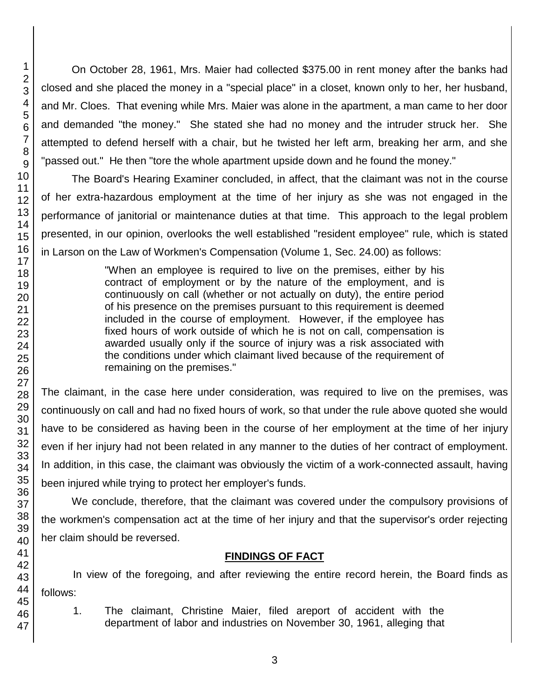On October 28, 1961, Mrs. Maier had collected \$375.00 in rent money after the banks had closed and she placed the money in a "special place" in a closet, known only to her, her husband, and Mr. Cloes. That evening while Mrs. Maier was alone in the apartment, a man came to her door and demanded "the money." She stated she had no money and the intruder struck her. She attempted to defend herself with a chair, but he twisted her left arm, breaking her arm, and she "passed out." He then "tore the whole apartment upside down and he found the money."

The Board's Hearing Examiner concluded, in affect, that the claimant was not in the course of her extra-hazardous employment at the time of her injury as she was not engaged in the performance of janitorial or maintenance duties at that time. This approach to the legal problem presented, in our opinion, overlooks the well established "resident employee" rule, which is stated in Larson on the Law of Workmen's Compensation (Volume 1, Sec. 24.00) as follows:

> "When an employee is required to live on the premises, either by his contract of employment or by the nature of the employment, and is continuously on call (whether or not actually on duty), the entire period of his presence on the premises pursuant to this requirement is deemed included in the course of employment. However, if the employee has fixed hours of work outside of which he is not on call, compensation is awarded usually only if the source of injury was a risk associated with the conditions under which claimant lived because of the requirement of remaining on the premises."

The claimant, in the case here under consideration, was required to live on the premises, was continuously on call and had no fixed hours of work, so that under the rule above quoted she would have to be considered as having been in the course of her employment at the time of her injury even if her injury had not been related in any manner to the duties of her contract of employment. In addition, in this case, the claimant was obviously the victim of a work-connected assault, having been injured while trying to protect her employer's funds.

We conclude, therefore, that the claimant was covered under the compulsory provisions of the workmen's compensation act at the time of her injury and that the supervisor's order rejecting her claim should be reversed.

## **FINDINGS OF FACT**

In view of the foregoing, and after reviewing the entire record herein, the Board finds as follows:

1. The claimant, Christine Maier, filed areport of accident with the department of labor and industries on November 30, 1961, alleging that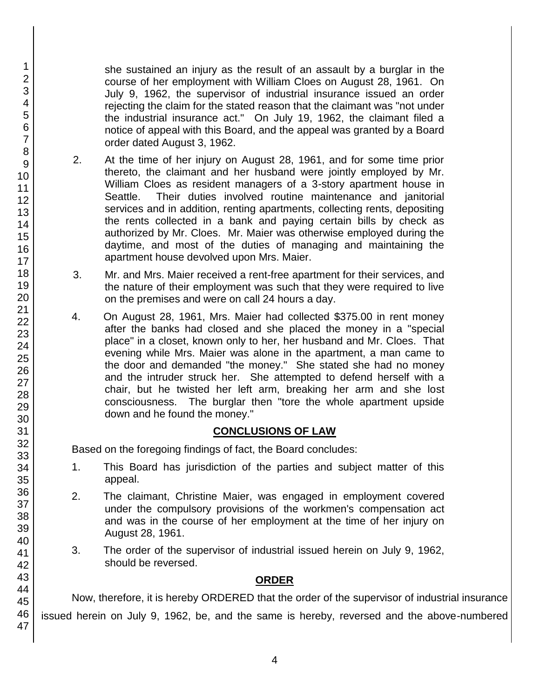she sustained an injury as the result of an assault by a burglar in the course of her employment with William Cloes on August 28, 1961. On July 9, 1962, the supervisor of industrial insurance issued an order rejecting the claim for the stated reason that the claimant was "not under the industrial insurance act." On July 19, 1962, the claimant filed a notice of appeal with this Board, and the appeal was granted by a Board order dated August 3, 1962.

- 2. At the time of her injury on August 28, 1961, and for some time prior thereto, the claimant and her husband were jointly employed by Mr. William Cloes as resident managers of a 3-story apartment house in Seattle. Their duties involved routine maintenance and janitorial services and in addition, renting apartments, collecting rents, depositing the rents collected in a bank and paying certain bills by check as authorized by Mr. Cloes. Mr. Maier was otherwise employed during the daytime, and most of the duties of managing and maintaining the apartment house devolved upon Mrs. Maier.
- 3. Mr. and Mrs. Maier received a rent-free apartment for their services, and the nature of their employment was such that they were required to live on the premises and were on call 24 hours a day.
- 4. On August 28, 1961, Mrs. Maier had collected \$375.00 in rent money after the banks had closed and she placed the money in a "special place" in a closet, known only to her, her husband and Mr. Cloes. That evening while Mrs. Maier was alone in the apartment, a man came to the door and demanded "the money." She stated she had no money and the intruder struck her. She attempted to defend herself with a chair, but he twisted her left arm, breaking her arm and she lost consciousness. The burglar then "tore the whole apartment upside down and he found the money."

### **CONCLUSIONS OF LAW**

Based on the foregoing findings of fact, the Board concludes:

- 1. This Board has jurisdiction of the parties and subject matter of this appeal.
- 2. The claimant, Christine Maier, was engaged in employment covered under the compulsory provisions of the workmen's compensation act and was in the course of her employment at the time of her injury on August 28, 1961.
- 3. The order of the supervisor of industrial issued herein on July 9, 1962, should be reversed.

#### **ORDER**

Now, therefore, it is hereby ORDERED that the order of the supervisor of industrial insurance issued herein on July 9, 1962, be, and the same is hereby, reversed and the above-numbered

1